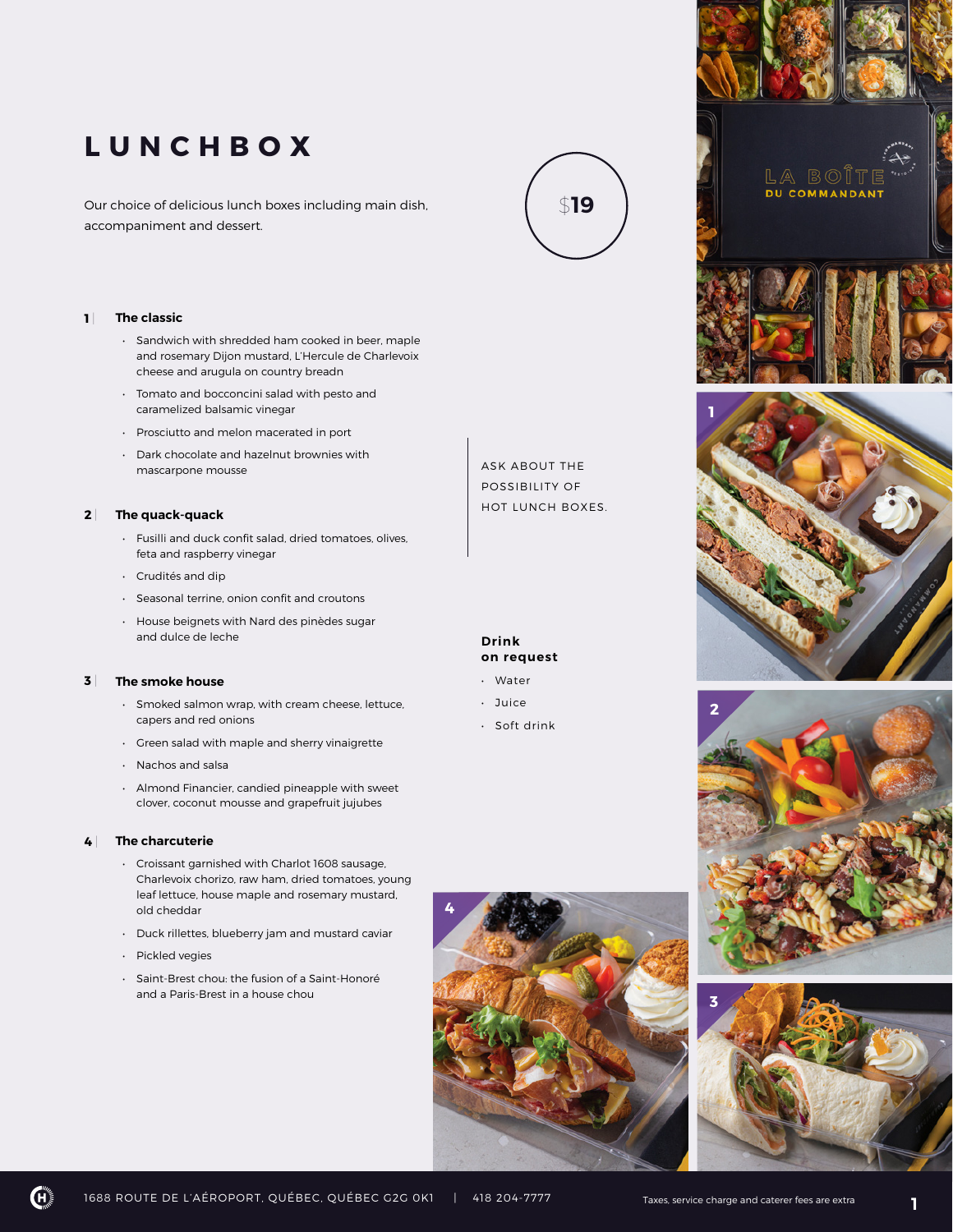# **LUNCHBOX**

Our choice of delicious lunch boxes including main dish, accompaniment and dessert.



### **1** | **The classic**

- Sandwich with shredded ham cooked in beer, maple and rosemary Dijon mustard, L'Hercule de Charlevoix cheese and arugula on country breadn
- Tomato and bocconcini salad with pesto and caramelized balsamic vinegar
- Prosciutto and melon macerated in port
- Dark chocolate and hazelnut brownies with mascarpone mousse

#### **2** | **The quack-quack**

- Fusilli and duck confit salad, dried tomatoes, olives, feta and raspberry vinegar
- Crudités and dip
- Seasonal terrine, onion confit and croutons
- House beignets with Nard des pinèdes sugar and dulce de leche

#### **3** | **The smoke house**

- Smoked salmon wrap, with cream cheese, lettuce, capers and red onions
- Green salad with maple and sherry vinaigrette
- Nachos and salsa
- Almond Financier, candied pineapple with sweet clover, coconut mousse and grapefruit jujubes

#### **4** | **The charcuterie**

- Croissant garnished with Charlot 1608 sausage, Charlevoix chorizo, raw ham, dried tomatoes, young leaf lettuce, house maple and rosemary mustard, old cheddar
- Duck rillettes, blueberry jam and mustard caviar
- Pickled vegies
- Saint-Brest chou: the fusion of a Saint-Honoré and a Paris-Brest in a house chou

ASK ABOUT THE POSSIBILITY OF HOT LUNCH BOXES.

# **Drink on request**

- Water
- Juice

 **4** 

• Soft drink









1688 ROUTE DE L'AÉROPORT, QUÉBEC, QUÉBEC G2G 0K1 | 418 204-7777 Taxes, service charge and caterer fees are extra